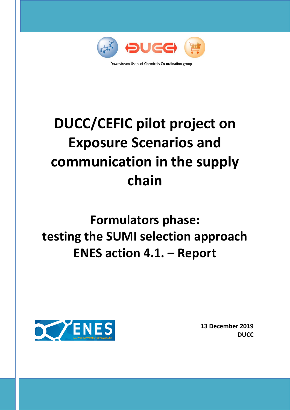

# **DUCC/CEFIC pilot project on Exposure Scenarios and communication in the supply chain**

# **Formulators phase: testing the SUMI selection approach ENES action 4.1. – Report**



**13 December 2019 DUCC**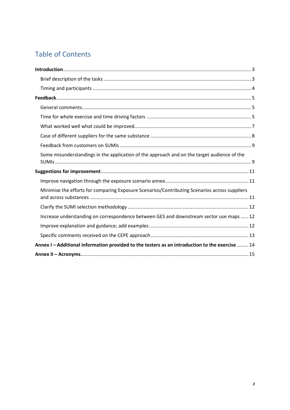# Table of Contents

| Some misunderstandings in the application of the approach and on the target audience of the     |
|-------------------------------------------------------------------------------------------------|
|                                                                                                 |
|                                                                                                 |
| Minimise the efforts for comparing Exposure Scenarios/Contributing Scenarios across suppliers   |
|                                                                                                 |
| Increase understanding on correspondence between GES and downstream sector use maps  12         |
|                                                                                                 |
|                                                                                                 |
| Annex I - Additional information provided to the testers as an introduction to the exercise  14 |
|                                                                                                 |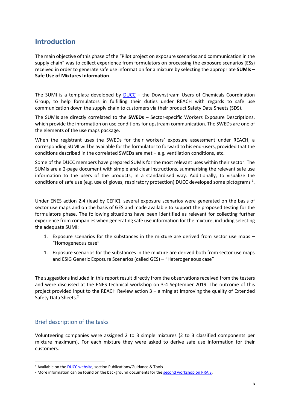## <span id="page-2-0"></span>**Introduction**

The main objective of this phase of the "Pilot project on exposure scenarios and communication in the supply chain" was to collect experience from formulators on processing the exposure scenarios (ESs) received in order to generate safe use information for a mixture by selecting the appropriate **SUMIs – Safe Use of Mixtures Information**.

The SUMI is a template developed by  $DUCC DUCC -$  the Downstream Users of Chemicals Coordination Group, to help formulators in fulfilling their duties under REACH with regards to safe use communication down the supply chain to customers via their product Safety Data Sheets (SDS).

The SUMIs are directly correlated to the **SWEDs** – Sector-specific Workers Exposure Descriptions, which provide the information on use conditions for upstream communication. The SWEDs are one of the elements of the use maps package.

When the registrant uses the SWEDs for their workers' exposure assessment under REACH, a corresponding SUMI will be available for the formulator to forward to his end-users, provided that the conditions described in the correlated SWEDs are met  $-$  e.g. ventilation conditions, etc.

Some of the DUCC members have prepared SUMIs for the most relevant uses within their sector. The SUMIs are a 2-page document with simple and clear instructions, summarising the relevant safe use information to the users of the products, in a standardised way. Additionally, to visualize the conditions of safe use (e.g. use of gloves, respiratory protection) DUCC developed some pictograms  $^1$ .

Under ENES action 2.4 (lead by CEFIC), several exposure scenarios were generated on the basis of sector use maps and on the basis of GES and made available to support the proposed testing for the formulators phase. The following situations have been identified as relevant for collecting further experience from companies when generating safe use information for the mixture, including selecting the adequate SUMI:

- 1. Exposure scenarios for the substances in the mixture are derived from sector use maps "Homogeneous case"
- 1. Exposure scenarios for the substances in the mixture are derived both from sector use maps and ESIG Generic Exposure Scenarios (called GES) – "Heterogeneous case"

The suggestions included in this report result directly from the observations received from the testers and were discussed at the ENES technical workshop on 3-4 September 2019. The outcome of this project provided input to the REACH Review action 3 – aiming at improving the quality of Extended Safety Data Sheets. 2

## <span id="page-2-1"></span>Brief description of the tasks

Volunteering companies were assigned 2 to 3 simple mixtures (2 to 3 classified components per mixture maximum). For each mixture they were asked to derive safe use information for their customers.

<sup>1</sup> Available on th[e DUCC website,](http://www.ducc.eu/) section Publications/Guidance & Tools

<sup>&</sup>lt;sup>2</sup> More information can be found on the background documents for th[e second workshop on RRA 3.](https://echa.europa.eu/-/workshop-on-the-workability-and-quality-of-safety-data-sheets)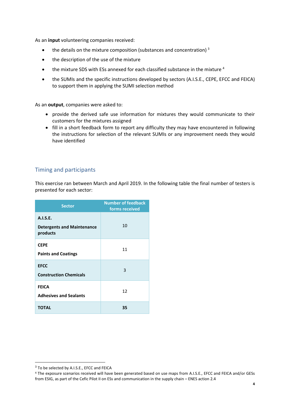As an **input** volunteering companies received:

- $\bullet$  the details on the mixture composition (substances and concentration)<sup>3</sup>
- the description of the use of the mixture
- the mixture SDS with ESs annexed for each classified substance in the mixture <sup>4</sup>
- the SUMIs and the specific instructions developed by sectors (A.I.S.E., CEPE, EFCC and FEICA) to support them in applying the SUMI selection method

As an **output**, companies were asked to:

- provide the derived safe use information for mixtures they would communicate to their customers for the mixtures assigned
- fill in a short feedback form to report any difficulty they may have encountered in following the instructions for selection of the relevant SUMIs or any improvement needs they would have identified

### <span id="page-3-0"></span>Timing and participants

This exercise ran between March and April 2019. In the following table the final number of testers is presented for each sector:

| <b>Sector</b>                                             | <b>Number of feedback</b><br>forms received |
|-----------------------------------------------------------|---------------------------------------------|
| A.I.S.E.<br><b>Detergents and Maintenance</b><br>products | 10                                          |
| <b>CEPE</b><br><b>Paints and Coatings</b>                 | 11                                          |
| <b>EFCC</b><br><b>Construction Chemicals</b>              | 3                                           |
| <b>FEICA</b><br><b>Adhesives and Sealants</b>             | 12                                          |
| <b>TOTAL</b>                                              | 35                                          |

<sup>&</sup>lt;sup>3</sup> To be selected by A.I.S.E., EFCC and FEICA

<sup>4</sup> The exposure scenarios received will have been generated based on use maps from A.I.S.E., EFCC and FEICA and/or GESs from ESIG, as part of the Cefic Pilot II on ESs and communication in the supply chain – ENES action 2.4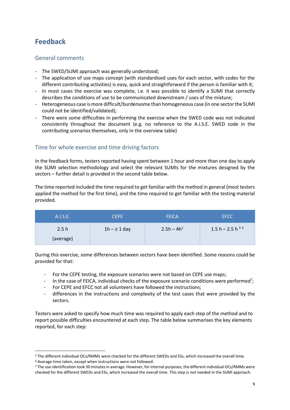## <span id="page-4-0"></span>**Feedback**

## <span id="page-4-1"></span>General comments

- The SWED/SUMI approach was generally understood;
- The application of use maps concept (with standardised uses for each sector, with codes for the different contributing activities) is easy, quick and straightforward if the person is familiar with it;
- In most cases the exercise was complete, i.e. it was possible to identify a SUMI that correctly describes the conditions of use to be communicated downstream / uses of the mixture;
- Heterogeneous case is more difficult/burdensome than homogeneous case (in one sector the SUMI could not be identified/validated);
- There were some difficulties in performing the exercise when the SWED code was not indicated consistently throughout the document (e.g. no reference to the A.I.S.E. SWED code in the contributing scenarios themselves, only in the overview table)

## <span id="page-4-2"></span>Time for whole exercise and time driving factors

In the feedback forms, testers reported having spent between 1 hour and more than one day to apply the SUMI selection methodology and select the relevant SUMIs for the mixtures designed by the sectors – further detail is provided in the second table below.

The time reported included the time required to get familiar with the method in general (most testers applied the method for the first time), and the time required to get familiar with the testing material provided.

| A.I.S.E.  | <b>CEPE</b>       | <b>FEICA</b> | <b>EFCC</b>           |
|-----------|-------------------|--------------|-----------------------|
| 2.5h      | $1h - \geq 1$ day | $2.5h - 4h1$ | 1.5 h – 2.5 h $^{56}$ |
| (average) |                   |              |                       |

During this exercise, some differences between sectors have been identified. Some reasons could be provided for that:

- For the CEPE testing, the exposure scenarios were not based on CEPE use maps;
- In the case of FEICA, individual checks of the exposure scenario conditions were performed<sup>7</sup>;
- For CEPE and EFCC not all volunteers have followed the instructions;
- differences in the instructions and complexity of the test cases that were provided by the sectors.

Testers were asked to specify how much time was required to apply each step of the method and to report possible difficulties encountered at each step. The table below summarises the key elements reported, for each step:

<sup>5</sup> The different individual OCs/RMMs were checked for the different SWEDs and ESs, which increased the overall time. <sup>6</sup> Average time taken, except when instructions were not followed.

<sup>7</sup> The use-identification took 30 minutes in average. However, for internal purposes, the different individual OCs/RMMs were checked for the different SWEDs and ESs, which increased the overall time. This step is *not* needed in the SUMI approach.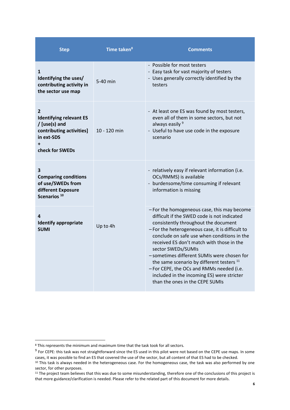| <b>Step</b>                                                                                                                    | Time taken <sup>8</sup> | <b>Comments</b>                                                                                                                                                                                                                                                                                                                                                                                                                                                                                                                             |
|--------------------------------------------------------------------------------------------------------------------------------|-------------------------|---------------------------------------------------------------------------------------------------------------------------------------------------------------------------------------------------------------------------------------------------------------------------------------------------------------------------------------------------------------------------------------------------------------------------------------------------------------------------------------------------------------------------------------------|
| 1<br>Identifying the uses/<br>contributing activity in<br>the sector use map                                                   | 5-40 min                | - Possible for most testers<br>- Easy task for vast majority of testers<br>- Uses generally correctly identified by the<br>testers                                                                                                                                                                                                                                                                                                                                                                                                          |
| $\overline{2}$<br><b>Identifying relevant ES</b><br>/ [use(s) and<br>contributing activities]<br>in ext-SDS<br>check for SWEDs | 10 - 120 min            | - At least one ES was found by most testers,<br>even all of them in some sectors, but not<br>always easily 9<br>- Useful to have use code in the exposure<br>scenario                                                                                                                                                                                                                                                                                                                                                                       |
| 3<br><b>Comparing conditions</b><br>of use/SWEDs from<br>different Exposure<br>Scenarios <sup>10</sup>                         |                         | - relatively easy if relevant information (i.e.<br>OCs/RMMS) is available<br>- burdensome/time consuming if relevant<br>information is missing                                                                                                                                                                                                                                                                                                                                                                                              |
| 4<br><b>Identify appropriate</b><br><b>SUMI</b>                                                                                | Up to 4h                | - For the homogeneous case, this may become<br>difficult if the SWED code is not indicated<br>consistently throughout the document<br>- For the heterogeneous case, it is difficult to<br>conclude on safe use when conditions in the<br>received ES don't match with those in the<br>sector SWEDs/SUMIs<br>-sometimes different SUMIs were chosen for<br>the same scenario by different testers <sup>11</sup><br>-For CEPE, the OCs and RMMs needed (i.e.<br>included in the incoming ES) were stricter<br>than the ones in the CEPE SUMIs |

 $8$  This represents the minimum and maximum time that the task took for all sectors.

<sup>&</sup>lt;sup>9</sup> For CEPE: this task was not straightforward since the ES used in this pilot were not based on the CEPE use maps. In some cases, it was possible to find an ES that covered the use of the sector, but all content of that ES had to be checked.

<sup>&</sup>lt;sup>10</sup> This task is always needed in the heterogeneous case. For the homogeneous case, the task was also performed by one sector, for other purposes.

<sup>&</sup>lt;sup>11</sup> The project team believes that this was due to some misunderstanding, therefore one of the conclusions of this project is that more guidance/clarification is needed. Please refer to the related part of this document for more details.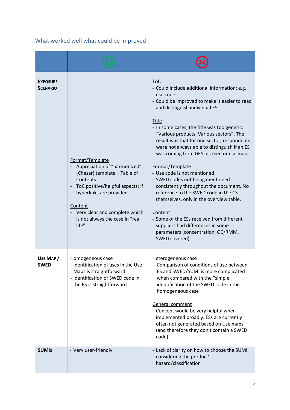## <span id="page-6-0"></span>What worked well what could be improved

| <b>EXPOSURE</b><br><b>SCENARIO</b> | Format/Template<br>Appreciation of "harmonized"<br>(Chesar) template + Table of<br>Contents<br>ToC positive/helpful aspects: if<br>hyperlinks are provided<br>Content<br>Very clear and complete which<br>is not always the case in "real<br>life" | <b>ToC</b><br>- Could include additional information: e.g.<br>use code<br>- Could be improved to make it easier to read<br>and distinguish individual ES<br>Title<br>- In some cases, the title was too generic:<br>"Various products; Various sectors". The<br>result was that for one sector, respondents<br>were not always able to distinguish if an ES<br>was coming from GES or a sector use map.<br>Format/Template<br>- Use code is not mentioned<br>- SWED codes not being mentioned<br>consistently throughout the document. No<br>reference to the SWED code in the CS<br>themselves, only in the overview table.<br>Content<br>- Some of the ESs received from different<br>suppliers had differences in some<br>parameters (concentration, OC/RMM,<br>SWED covered) |
|------------------------------------|----------------------------------------------------------------------------------------------------------------------------------------------------------------------------------------------------------------------------------------------------|----------------------------------------------------------------------------------------------------------------------------------------------------------------------------------------------------------------------------------------------------------------------------------------------------------------------------------------------------------------------------------------------------------------------------------------------------------------------------------------------------------------------------------------------------------------------------------------------------------------------------------------------------------------------------------------------------------------------------------------------------------------------------------|
| USE MAP /<br><b>SWED</b>           | Homogeneous case<br>- Identification of uses in the Use<br>Maps is straightforward<br>- Identification of SWED code in<br>the ES is straightforward                                                                                                | Heterogeneous case<br>- Comparison of conditions of use between<br>ES and SWED/SUMI is more complicated<br>when compared with the "simple"<br>identification of the SWED code in the<br>homogeneous case<br>General comment<br>- Concept would be very helpful when<br>implemented broadly. ESs are currently<br>often not generated based on Use maps<br>(and therefore they don't contain a SWED<br>code)                                                                                                                                                                                                                                                                                                                                                                      |
| <b>SUMIS</b>                       | - Very user-friendly                                                                                                                                                                                                                               | - Lack of clarity on how to choose the SUMI<br>considering the product's<br>hazard/classification                                                                                                                                                                                                                                                                                                                                                                                                                                                                                                                                                                                                                                                                                |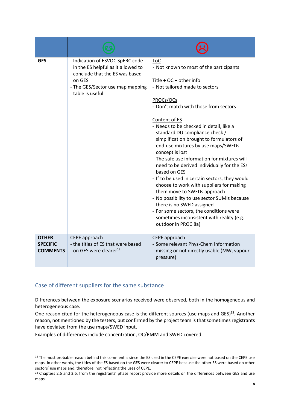| <b>GES</b>                                         | - Indication of ESVOC SpERC code<br>in the ES helpful as it allowed to<br>conclude that the ES was based<br>on GES<br>- The GES/Sector use map mapping<br>table is useful | <b>ToC</b><br>- Not known to most of the participants<br>$Title + OC + other info$<br>- Not tailored made to sectors<br>PROCs/OCs<br>- Don't match with those from sectors<br>Content of ES<br>- Needs to be checked in detail, like a<br>standard DU compliance check /<br>simplification brought to formulators of<br>end-use mixtures by use maps/SWEDs<br>concept is lost<br>- The safe use information for mixtures will<br>need to be derived individually for the ESs<br>based on GES<br>- If to be used in certain sectors, they would<br>choose to work with suppliers for making<br>them move to SWEDs approach<br>- No possibility to use sector SUMIs because<br>there is no SWED assigned<br>- For some sectors, the conditions were<br>sometimes inconsistent with reality (e.g.<br>outdoor in PROC 8a) |
|----------------------------------------------------|---------------------------------------------------------------------------------------------------------------------------------------------------------------------------|-----------------------------------------------------------------------------------------------------------------------------------------------------------------------------------------------------------------------------------------------------------------------------------------------------------------------------------------------------------------------------------------------------------------------------------------------------------------------------------------------------------------------------------------------------------------------------------------------------------------------------------------------------------------------------------------------------------------------------------------------------------------------------------------------------------------------|
| <b>OTHER</b><br><b>SPECIFIC</b><br><b>COMMENTS</b> | CEPE approach<br>- the titles of ES that were based<br>on GES were clearer <sup>12</sup>                                                                                  | <b>CEPE</b> approach<br>- Some relevant Phys-Chem information<br>missing or not directly usable (MW, vapour<br>pressure)                                                                                                                                                                                                                                                                                                                                                                                                                                                                                                                                                                                                                                                                                              |

### <span id="page-7-0"></span>Case of different suppliers for the same substance

Differences between the exposure scenarios received were observed, both in the homogeneous and heterogeneous case.

One reason cited for the heterogeneous case is the different sources (use maps and GES)<sup>13</sup>. Another reason, not mentioned by the testers, but confirmed by the project team is that sometimes registrants have deviated from the use maps/SWED input.

Examples of differences include concentration, OC/RMM and SWED covered.

 $12$  The most probable reason behind this comment is since the ES used in the CEPE exercise were not based on the CEPE use maps. In other words, the titles of the ES based on the GES were clearer to CEPE because the other ES were based on other sectors' use maps and, therefore, not reflecting the uses of CEPE.

<sup>&</sup>lt;sup>13</sup> Chapters 2.6 and 3.6. from the registrants' phase report provide more details on the differences between GES and use maps.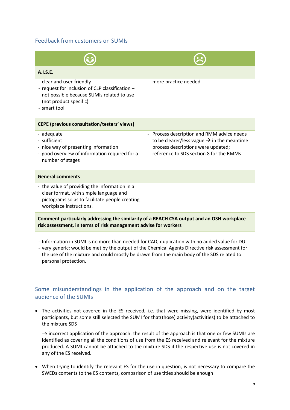## <span id="page-8-0"></span>Feedback from customers on SUMIs

| A.I.S.E.                                                                                                                                                                                                                                                                                                             |                                                                                                                                                                                       |  |
|----------------------------------------------------------------------------------------------------------------------------------------------------------------------------------------------------------------------------------------------------------------------------------------------------------------------|---------------------------------------------------------------------------------------------------------------------------------------------------------------------------------------|--|
| - clear and user-friendly<br>- request for inclusion of CLP classification -<br>not possible because SUMIs related to use<br>(not product specific)<br>- smart tool                                                                                                                                                  | more practice needed<br>$\qquad \qquad \blacksquare$                                                                                                                                  |  |
| <b>CEPE (previous consultation/testers' views)</b>                                                                                                                                                                                                                                                                   |                                                                                                                                                                                       |  |
| - adequate<br>- sufficient<br>- nice way of presenting information<br>- good overview of information required for a<br>number of stages                                                                                                                                                                              | - Process description and RMM advice needs<br>to be clearer/less vague $\rightarrow$ in the meantime<br>process descriptions were updated;<br>reference to SDS section 8 for the RMMs |  |
| <b>General comments</b>                                                                                                                                                                                                                                                                                              |                                                                                                                                                                                       |  |
| - the value of providing the information in a<br>clear format, with simple language and<br>pictograms so as to facilitate people creating<br>workplace instructions.                                                                                                                                                 |                                                                                                                                                                                       |  |
| Comment particularly addressing the similarity of a REACH CSA output and an OSH workplace<br>risk assessment, in terms of risk management advise for workers                                                                                                                                                         |                                                                                                                                                                                       |  |
| - Information in SUMI is no more than needed for CAD; duplication with no added value for DU<br>- very generic; would be met by the output of the Chemical Agents Directive risk assessment for<br>the use of the mixture and could mostly be drawn from the main body of the SDS related to<br>personal protection. |                                                                                                                                                                                       |  |

## <span id="page-8-1"></span>Some misunderstandings in the application of the approach and on the target audience of the SUMIs

• The activities not covered in the ES received, i.e. that were missing, were identified by most participants, but some still selected the SUMI for that(those) activity(activities) to be attached to the mixture SDS

 $\rightarrow$  incorrect application of the approach: the result of the approach is that one or few SUMIs are identified as covering all the conditions of use from the ES received and relevant for the mixture produced. A SUMI cannot be attached to the mixture SDS if the respective use is not covered in any of the ES received.

• When trying to identify the relevant ES for the use in question, is not necessary to compare the SWEDs contents to the ES contents, comparison of use titles should be enough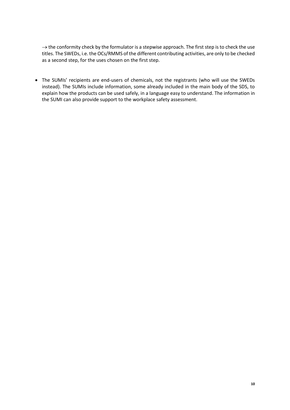$\rightarrow$  the conformity check by the formulator is a stepwise approach. The first step is to check the use titles. The SWEDs, i.e. the OCs/RMMS of the different contributing activities, are only to be checked as a second step, for the uses chosen on the first step.

• The SUMIs' recipients are end-users of chemicals, not the registrants (who will use the SWEDs instead). The SUMIs include information, some already included in the main body of the SDS, to explain how the products can be used safely, in a language easy to understand. The information in the SUMI can also provide support to the workplace safety assessment.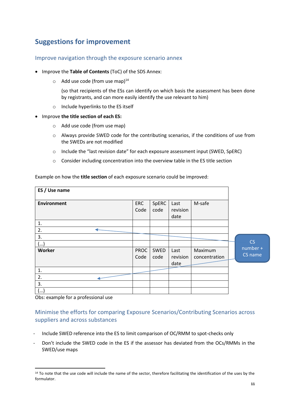## <span id="page-10-0"></span>**Suggestions for improvement**

### <span id="page-10-1"></span>Improve navigation through the exposure scenario annex

- Improve the **Table of Contents** (ToC) of the SDS Annex:
	- $\circ$  Add use code (from use map)<sup>14</sup>

(so that recipients of the ESs can identify on which basis the assessment has been done by registrants, and can more easily identify the use relevant to him)

- o Include hyperlinks to the ES itself
- Improve **the title section of each ES:**
	- o Add use code (from use map)
	- o Always provide SWED code for the contributing scenarios, if the conditions of use from the SWEDs are not modified
	- o Include the "last revision date" for each exposure assessment input (SWED, SpERC)
	- o Consider including concentration into the overview table in the ES title section

| ES / Use name      |              |               |                          |                          |                     |
|--------------------|--------------|---------------|--------------------------|--------------------------|---------------------|
| <b>Environment</b> | ERC<br>Code  | SpERC<br>code | Last<br>revision<br>date | M-safe                   |                     |
| 1.                 |              |               |                          |                          |                     |
| 2.                 |              |               |                          |                          |                     |
| 3.<br>()           |              |               |                          |                          | CS                  |
| Worker             | PROC<br>Code | SWED<br>code  | Last<br>revision<br>date | Maximum<br>concentration | number +<br>CS name |
| 1.                 |              |               |                          |                          |                     |
| 2.                 |              |               |                          |                          |                     |
| 3.                 |              |               |                          |                          |                     |
| ()                 |              |               |                          |                          |                     |

Example on how the **title section** of each exposure scenario could be improved:

Obs: example for a professional use

## <span id="page-10-2"></span>Minimise the efforts for comparing Exposure Scenarios/Contributing Scenarios across suppliers and across substances

- Include SWED reference into the ES to limit comparison of OC/RMM to spot-checks only
- Don't include the SWED code in the ES if the assessor has deviated from the OCs/RMMs in the SWED/use maps

<sup>&</sup>lt;sup>14</sup> To note that the use code will include the name of the sector, therefore facilitating the identification of the uses by the formulator.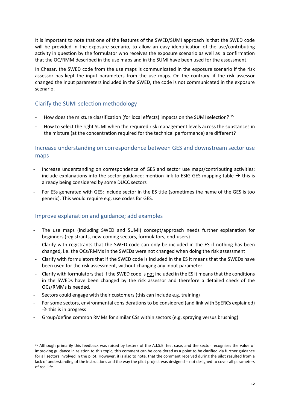It is important to note that one of the features of the SWED/SUMI approach is that the SWED code will be provided in the exposure scenario, to allow an easy identification of the use/contributing activity in question by the formulator who receives the exposure scenario as well as a confirmation that the OC/RMM described in the use maps and in the SUMI have been used for the assessment.

In Chesar, the SWED code from the use maps is communicated in the exposure scenario if the risk assessor has kept the input parameters from the use maps. On the contrary, if the risk assessor changed the input parameters included in the SWED, the code is not communicated in the exposure scenario.

## <span id="page-11-0"></span>Clarify the SUMI selection methodology

- How does the mixture classification (for local effects) impacts on the SUMI selection? <sup>15</sup>
- How to select the right SUMI when the required risk management levels across the substances in the mixture (at the concentration required for the technical performance) are different?

## <span id="page-11-1"></span>Increase understanding on correspondence between GES and downstream sector use maps

- Increase understanding on correspondence of GES and sector use maps/contributing activities; include explanations into the sector guidance; mention link to ESIG GES mapping table  $\rightarrow$  this is already being considered by some DUCC sectors
- For ESs generated with GES: include sector in the ES title (sometimes the name of the GES is too generic). This would require e.g. use codes for GES.

### <span id="page-11-2"></span>Improve explanation and guidance; add examples

- The use maps (including SWED and SUMI) concept/approach needs further explanation for beginners (registrants, new-coming sectors, formulators, end-users)
- Clarify with registrants that the SWED code can only be included in the ES if nothing has been changed, i.e. the OCs/RMMs in the SWEDs were not changed when doing the risk assessment
- Clarify with formulators that if the SWED code is included in the ES it means that the SWEDs have been used for the risk assessment, without changing any input parameter
- Clarify with formulators that if the SWED code is not included in the ES it means that the conditions in the SWEDs have been changed by the risk assessor and therefore a detailed check of the OCs/RMMs is needed.
- Sectors could engage with their customers (this can include e.g. training)
- For some sectors, environmental considerations to be considered (and link with SpERCs explained)  $\rightarrow$  this is in progress
- Group/define common RMMs for similar CSs within sectors (e.g. spraying versus brushing)

<sup>15</sup> Although primarily this feedback was raised by testers of the A.I.S.E. test case, and the sector recognises the value of improving guidance in relation to this topic, this comment can be considered as a point to be clarified via further guidance for all sectors involved in the pilot. However, it is also to note, that the comment received during the pilot resulted from a lack of understanding of the instructions and the way the pilot project was designed – not designed to cover all parameters of real life.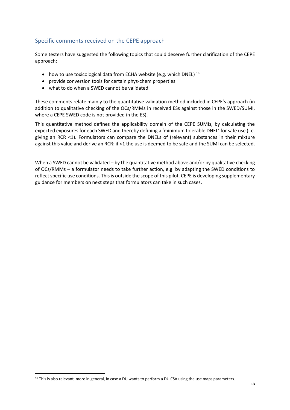## <span id="page-12-0"></span>Specific comments received on the CEPE approach

Some testers have suggested the following topics that could deserve further clarification of the CEPE approach:

- how to use toxicological data from ECHA website (e.g. which DNEL)  $^{16}$
- provide conversion tools for certain phys-chem properties
- what to do when a SWED cannot be validated.

These comments relate mainly to the quantitative validation method included in CEPE's approach (in addition to qualitative checking of the OCs/RMMs in received ESs against those in the SWED/SUMI, where a CEPE SWED code is not provided in the ES).

This quantitative method defines the applicability domain of the CEPE SUMIs, by calculating the expected exposures for each SWED and thereby defining a 'minimum tolerable DNEL' for safe use (i.e. giving an RCR <1). Formulators can compare the DNELs of (relevant) substances in their mixture against this value and derive an RCR: if <1 the use is deemed to be safe and the SUMI can be selected.

When a SWED cannot be validated – by the quantitative method above and/or by qualitative checking of OCs/RMMs – a formulator needs to take further action, e.g. by adapting the SWED conditions to reflect specific use conditions. This is outside the scope of this pilot. CEPE is developing supplementary guidance for members on next steps that formulators can take in such cases.

<sup>&</sup>lt;sup>16</sup> This is also relevant, more in general, in case a DU wants to perform a DU CSA using the use maps parameters.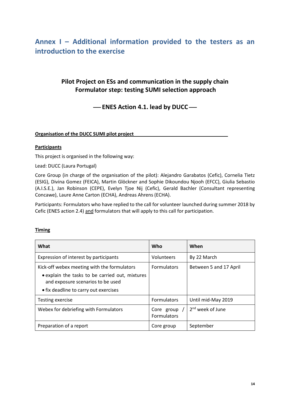## <span id="page-13-0"></span>**Annex I – Additional information provided to the testers as an introduction to the exercise**

## **Pilot Project on ESs and communication in the supply chain Formulator step: testing SUMI selection approach**

 $-$  ENES Action 4.1. lead by DUCC $-$ 

**Organisation of the DUCC SUMI pilot project**

#### **Participants**

This project is organised in the following way:

Lead: DUCC (Laura Portugal)

Core Group (in charge of the organisation of the pilot): Alejandro Garabatos (Cefic), Cornelia Tietz (ESIG), Divina Gomez (FEICA), Martin Glöckner and Sophie Dikoundou Njooh (EFCC), Giulia Sebastio (A.I.S.E.), Jan Robinson (CEPE), Evelyn Tjoe Nij (Cefic), Gerald Bachler (Consultant representing Concawe), Laure Anne Carton (ECHA), Andreas Ahrens (ECHA).

Participants: Formulators who have replied to the call for volunteer launched during summer 2018 by Cefic (ENES action 2.4) and formulators that will apply to this call for participation.

#### **Timing**

| What                                                                                                                                                                         | <b>Who</b>                       | When                   |
|------------------------------------------------------------------------------------------------------------------------------------------------------------------------------|----------------------------------|------------------------|
| Expression of interest by participants                                                                                                                                       | Volunteers                       | By 22 March            |
| Kick-off webex meeting with the formulators<br>• explain the tasks to be carried out, mixtures<br>and exposure scenarios to be used<br>• fix deadline to carry out exercises | <b>Formulators</b>               | Between 5 and 17 April |
| Testing exercise                                                                                                                                                             | <b>Formulators</b>               | Until mid-May 2019     |
| Webex for debriefing with Formulators                                                                                                                                        | Core group<br><b>Formulators</b> | $2nd$ week of June     |
| Preparation of a report                                                                                                                                                      | Core group                       | September              |